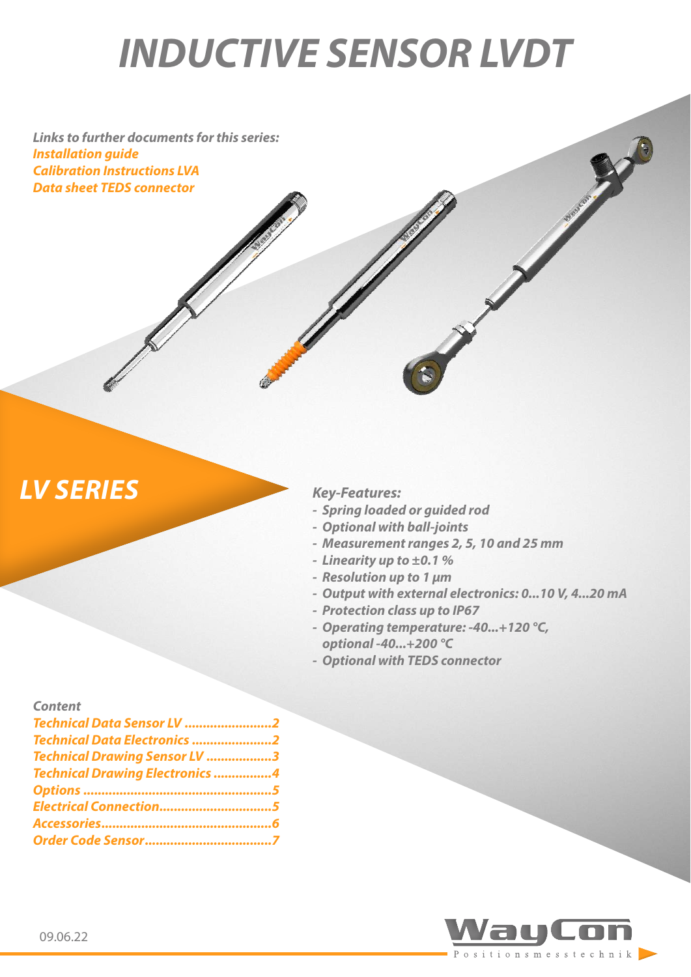# *INDUCTIVE SENSOR LVDT*

*Links to further documents for this series: [Installation guide](https://www.waycon.biz/fileadmin/inductive-sensors-lvdt/Inductive-Sensors-LVDT-Installation-Guide.pdf) [Calibration Instructions LVA](https://www.waycon.biz/fileadmin/inductive-sensors-lvdt/Inductive-Sensors-LVA-Calibration-Instructions.pdf) [Data sheet TEDS connector](https://www.waycon.biz/fileadmin/accessories/TEDS-Connector.pdf)*

# *LV SERIES Key-Features:*

- *- Spring loaded or guided rod*
- *- Optional with ball-joints*
- *- Measurement ranges 2, 5, 10 and 25 mm*
- *- Linearity up to ±0.1 %*
- *- Resolution up to 1 µm*
- *- Output with external electronics: 0...10 V, 4...20 mA*
- *- Protection class up to IP67*
- *- Operating temperature: -40...+120 °C, optional -40...+200 °C*
- *- Optional with TEDS connector*

#### *Content*

| Technical Data Sensor LV 2             |  |
|----------------------------------------|--|
| Technical Data Electronics 2           |  |
| Technical Drawing Sensor LV 3          |  |
| <b>Technical Drawing Electronics 4</b> |  |
|                                        |  |
| Electrical Connection5                 |  |
|                                        |  |
|                                        |  |

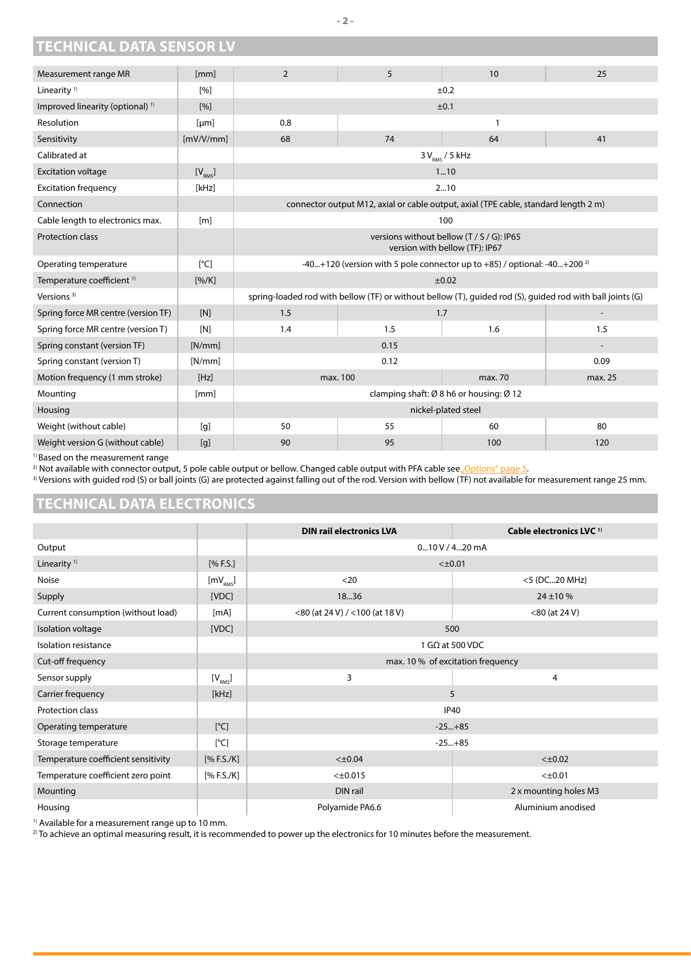# <span id="page-1-0"></span>**TECHNICAL DATA SENSOR LV**

| Measurement range MR                        | [mm]                    | $\overline{2}$                                                                                            | 5                                                                                   | 10                 | 25  |
|---------------------------------------------|-------------------------|-----------------------------------------------------------------------------------------------------------|-------------------------------------------------------------------------------------|--------------------|-----|
| Linearity <sup>1)</sup>                     | $\lceil 96 \rceil$      | ±0.2                                                                                                      |                                                                                     |                    |     |
| Improved linearity (optional) <sup>1)</sup> | [%]                     |                                                                                                           |                                                                                     | ±0.1               |     |
| Resolution                                  | [µm]                    | 0.8                                                                                                       |                                                                                     | 1                  |     |
| Sensitivity                                 | [mV/V/mm]               | 68                                                                                                        | 74                                                                                  | 64                 | 41  |
| Calibrated at                               |                         |                                                                                                           |                                                                                     | $3V_{RMS}$ / 5 kHz |     |
| <b>Excitation voltage</b>                   | [V <sub>RMS</sub> ]     |                                                                                                           |                                                                                     | 110                |     |
| <b>Excitation frequency</b>                 | [kHz]                   |                                                                                                           |                                                                                     | 210                |     |
| Connection                                  |                         |                                                                                                           | connector output M12, axial or cable output, axial (TPE cable, standard length 2 m) |                    |     |
| Cable length to electronics max.            | [ <sub>m</sub> ]        |                                                                                                           | 100                                                                                 |                    |     |
| <b>Protection class</b>                     |                         | versions without bellow (T / S / G): IP65<br>version with bellow (TF): IP67                               |                                                                                     |                    |     |
| Operating temperature                       | $\lceil^{\circ}C\rceil$ | -40+120 (version with 5 pole connector up to $+85$ ) / optional: -40+200 <sup>2)</sup>                    |                                                                                     |                    |     |
| Temperature coefficient <sup>1)</sup>       | [%/K]                   | ±0.02                                                                                                     |                                                                                     |                    |     |
| Versions <sup>3)</sup>                      |                         | spring-loaded rod with bellow (TF) or without bellow (T), guided rod (S), guided rod with ball joints (G) |                                                                                     |                    |     |
| Spring force MR centre (version TF)         | [N]                     | 1.5                                                                                                       | 1.7                                                                                 |                    |     |
| Spring force MR centre (version T)          | [N]                     | 1.4                                                                                                       | 1.5                                                                                 | 1.6                | 1.5 |
| Spring constant (version TF)                | [N/mm]                  | 0.15                                                                                                      |                                                                                     |                    |     |
| Spring constant (version T)                 | [N/mm]                  | 0.09<br>0.12                                                                                              |                                                                                     |                    |     |
| Motion frequency (1 mm stroke)              | [Hz]                    | max. 100<br>max. 70<br>max. 25                                                                            |                                                                                     |                    |     |
| Mounting                                    | [mm]                    | clamping shaft: Ø 8 h6 or housing: Ø 12                                                                   |                                                                                     |                    |     |
| Housing                                     |                         | nickel-plated steel                                                                                       |                                                                                     |                    |     |
| Weight (without cable)                      | [g]                     | 50                                                                                                        | 55                                                                                  | 60                 | 80  |
| Weight version G (without cable)            | [g]                     | 90                                                                                                        | 95                                                                                  | 100                | 120 |

1) Based on the measurement range

<sup>2)</sup> Not available with connector output, 5 pole cable output or bellow. Changed cable output with PFA cable see <u>"Options" page 5</u>.

<sup>3)</sup> Versions with guided rod (S) or ball joints (G) are protected against falling out of the rod. Version with bellow (TF) not available for measurement range 25 mm.

#### **TECHNICAL DATA ELECTRONICS**

|                                     |                      | <b>DIN rail electronics LVA</b>   | Cable electronics LVC <sup>1)</sup> |  |
|-------------------------------------|----------------------|-----------------------------------|-------------------------------------|--|
| Output                              |                      | $0.10$ V / 4 $.20$ mA             |                                     |  |
| Linearity <sup>1)</sup>             | [% F.S.]             | $<\pm 0.01$                       |                                     |  |
| <b>Noise</b>                        | [mV <sub>RMS</sub> ] | $20$                              | <5 (DC20 MHz)                       |  |
| Supply                              | [VDC]                | 1836                              | $24 \pm 10 \%$                      |  |
| Current consumption (without load)  | [mA]                 | <80 (at 24 V) / <100 (at 18 V)    | $<$ 80 (at 24 V)                    |  |
| Isolation voltage                   | [VDC]                | 500                               |                                     |  |
| Isolation resistance                |                      | 1 G $\Omega$ at 500 VDC           |                                     |  |
| Cut-off frequency                   |                      | max. 10 % of excitation frequency |                                     |  |
| Sensor supply                       | $[V_{\rm RMS}]$      | 3<br>4                            |                                     |  |
| Carrier frequency                   | [kHz]                | 5                                 |                                     |  |
| Protection class                    |                      | <b>IP40</b>                       |                                     |  |
| Operating temperature               | [°C]                 | $-25+85$                          |                                     |  |
| Storage temperature                 | [°C]                 | $-25+85$                          |                                     |  |
| Temperature coefficient sensitivity | [% F.S./K]           | $< \pm 0.04$<br>$< \pm 0.02$      |                                     |  |
| Temperature coefficient zero point  | [% F.S./K]           | $< \pm 0.015$<br>$< \pm 0.01$     |                                     |  |
| Mounting                            |                      | DIN rail<br>2 x mounting holes M3 |                                     |  |
| Housing                             |                      | Polyamide PA6.6                   | Aluminium anodised                  |  |

<sup>1)</sup> Available for a measurement range up to 10 mm.

<sup>2)</sup> To achieve an optimal measuring result, it is recommended to power up the electronics for 10 minutes before the measurement.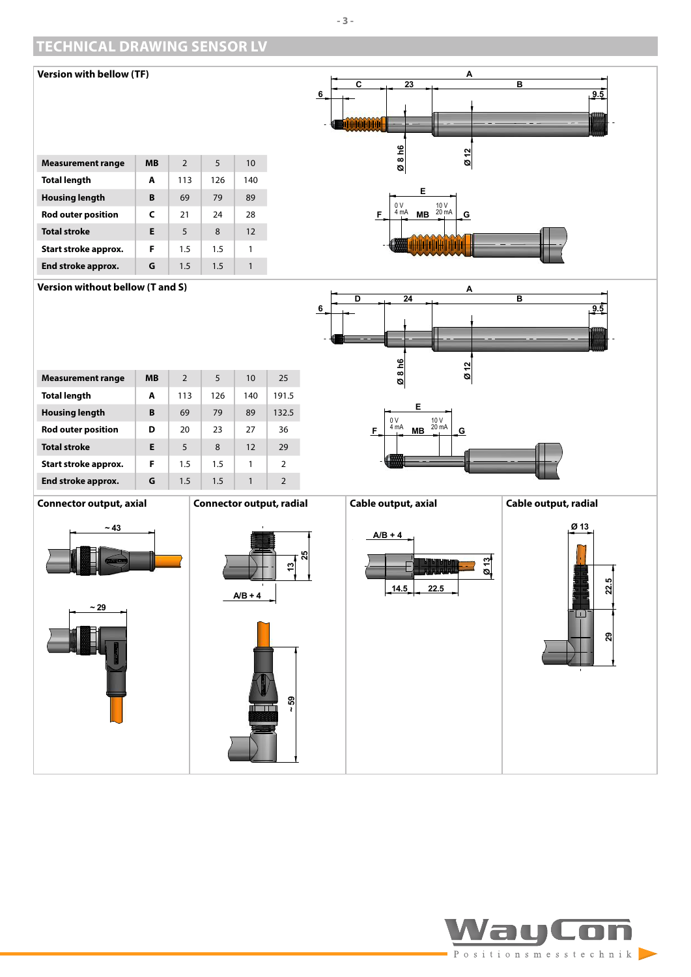# <span id="page-2-0"></span>**TECHNICAL DRAWING SENSOR LV**



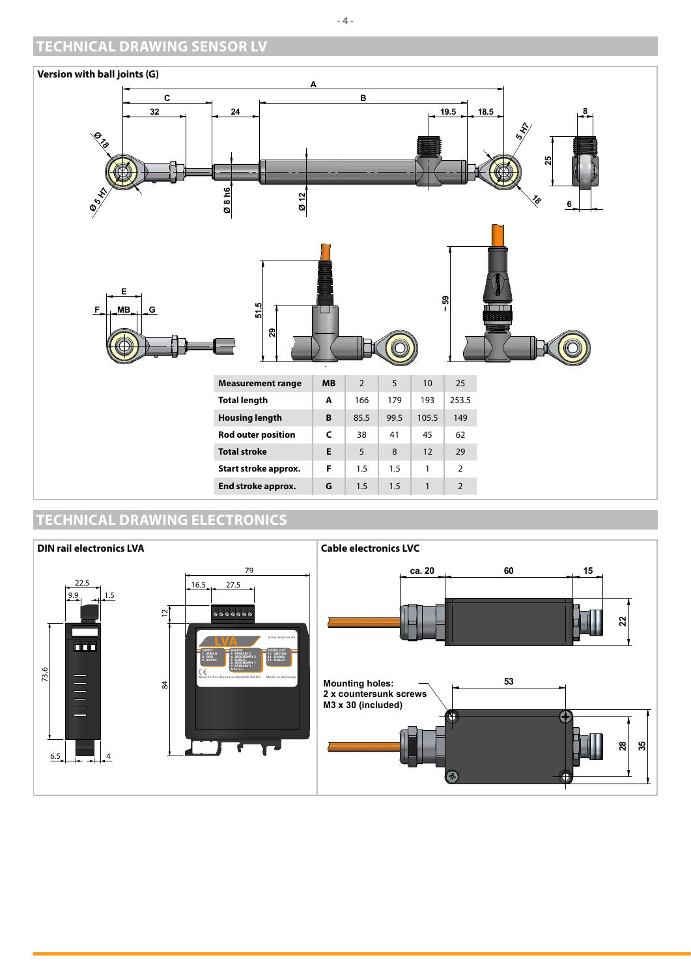# <span id="page-3-0"></span>**TECHNICAL DRAWING SENSOR LV**



# **TECHNICAL DRAWING ELECTRONICS**



**- 4 -**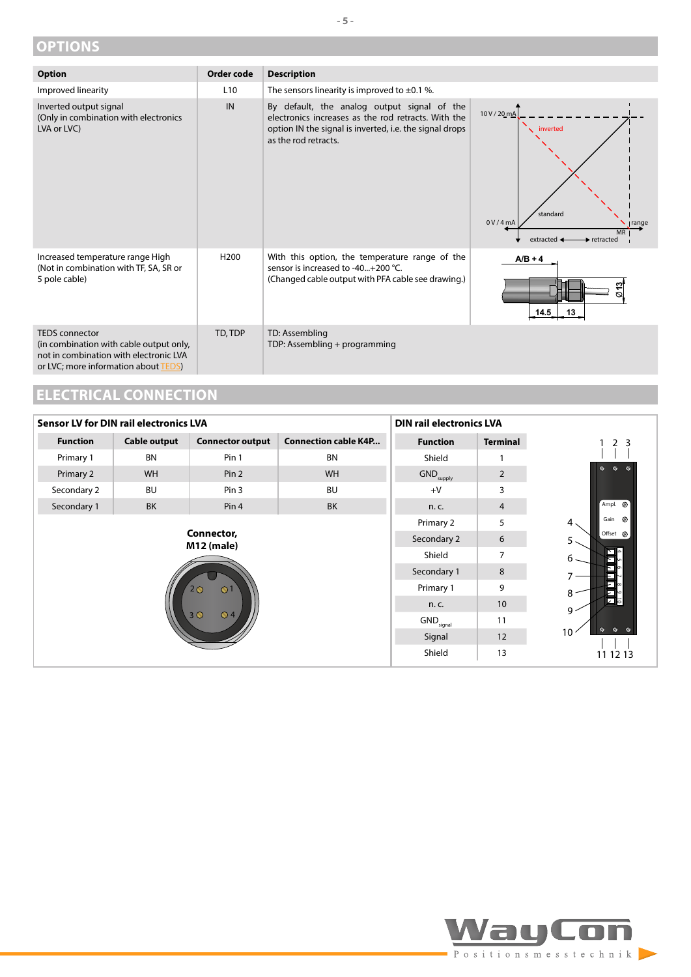# <span id="page-4-1"></span><span id="page-4-0"></span>**OPTIONS**

| <b>Option</b>                                                                                                                                      | Order code       | <b>Description</b>                                                                                                                                                                    |                                                                                                                                     |
|----------------------------------------------------------------------------------------------------------------------------------------------------|------------------|---------------------------------------------------------------------------------------------------------------------------------------------------------------------------------------|-------------------------------------------------------------------------------------------------------------------------------------|
| Improved linearity                                                                                                                                 | L <sub>10</sub>  | The sensors linearity is improved to $\pm 0.1$ %.                                                                                                                                     |                                                                                                                                     |
| Inverted output signal<br>(Only in combination with electronics<br>LVA or LVC)                                                                     | IN               | By default, the analog output signal of the<br>electronics increases as the rod retracts. With the<br>option IN the signal is inverted, i.e. the signal drops<br>as the rod retracts. | 10 V / 20 mA<br>inverted<br>standard<br>0V/4m/<br><b>range</b><br><b>MR</b><br>extracted $\triangleleft$<br>$\rightarrow$ retracted |
| Increased temperature range High<br>(Not in combination with TF, SA, SR or<br>5 pole cable)                                                        | H <sub>200</sub> | With this option, the temperature range of the<br>sensor is increased to -40+200 °C.<br>(Changed cable output with PFA cable see drawing.)                                            | $A/B + 4$<br><u> 역</u><br>Ø<br>14.5<br>13 <sub>1</sub>                                                                              |
| <b>TEDS</b> connector<br>(in combination with cable output only,<br>not in combination with electronic LVA<br>or LVC; more information about TEDS) | TD, TDP          | TD: Assembling<br>TDP: Assembling + programming                                                                                                                                       |                                                                                                                                     |

**- 5 -**

# **ELECTRICAL CONNECTION**

| <b>Sensor LV for DIN rail electronics LVA</b>                                                |                     |                         | <b>DIN rail electronics LVA</b> |                                |                                              |                        |
|----------------------------------------------------------------------------------------------|---------------------|-------------------------|---------------------------------|--------------------------------|----------------------------------------------|------------------------|
| <b>Function</b>                                                                              | <b>Cable output</b> | <b>Connector output</b> | <b>Connection cable K4P</b>     | <b>Function</b>                | <b>Terminal</b>                              | 2 <sub>3</sub>         |
| Primary 1                                                                                    | <b>BN</b>           | Pin 1                   | <b>BN</b>                       | Shield                         |                                              |                        |
| Primary 2                                                                                    | <b>WH</b>           | Pin 2                   | WH                              | $\mathsf{GND}_\mathsf{supply}$ | $\overline{2}$                               | $\mathscr{A}$<br>n.    |
| Secondary 2                                                                                  | <b>BU</b>           | Pin 3                   | <b>BU</b>                       | $+V$                           | 3                                            |                        |
| Secondary 1                                                                                  | <b>BK</b>           | Pin <sub>4</sub>        | <b>BK</b>                       | n. c.                          | 4                                            | Ampl. @                |
|                                                                                              |                     |                         |                                 | Primary 2                      | 5                                            | Gain <sup>7</sup><br>4 |
| Connector,<br><b>M12 (male)</b><br>$\Omega$<br>$2\bigcirc$<br>3 <sup>o</sup><br>$\bigcirc$ 4 |                     |                         | Secondary 2                     | 6                              | Offset <sup><i>Ø</i></sup><br>5.             |                        |
|                                                                                              |                     |                         | Shield                          | 7                              | ना-<br>$6 -$<br>≂⊪                           |                        |
|                                                                                              |                     |                         | Secondary 1                     | 8                              | Ξ                                            |                        |
|                                                                                              |                     |                         | Primary 1                       | 9                              | El∞<br>8                                     |                        |
|                                                                                              |                     |                         | n. c.                           | 10 <sup>°</sup>                | $\mathbf{E}$<br>$9 -$                        |                        |
|                                                                                              |                     |                         | GND <sub>signal</sub>           | 11                             | $\mathbf{v}$                                 |                        |
|                                                                                              |                     |                         | Signal                          | 12                             | $\mathbf{v}$ $\mathbf{v}$<br>10 <sup>°</sup> |                        |
|                                                                                              |                     |                         | Shield                          | 13                             | 11 12 13                                     |                        |



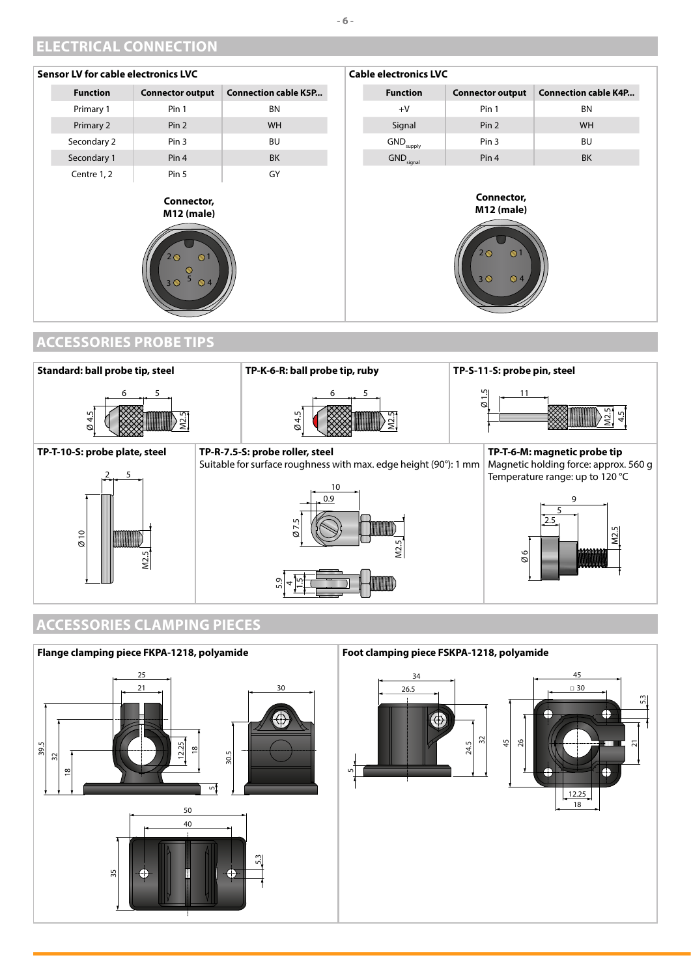# <span id="page-5-0"></span>**ELECTRICAL CONNECTION**





# **ACCESSORIES CLAMPING PIECES**



#### **Foot clamping piece FSKPA-1218, polyamide**



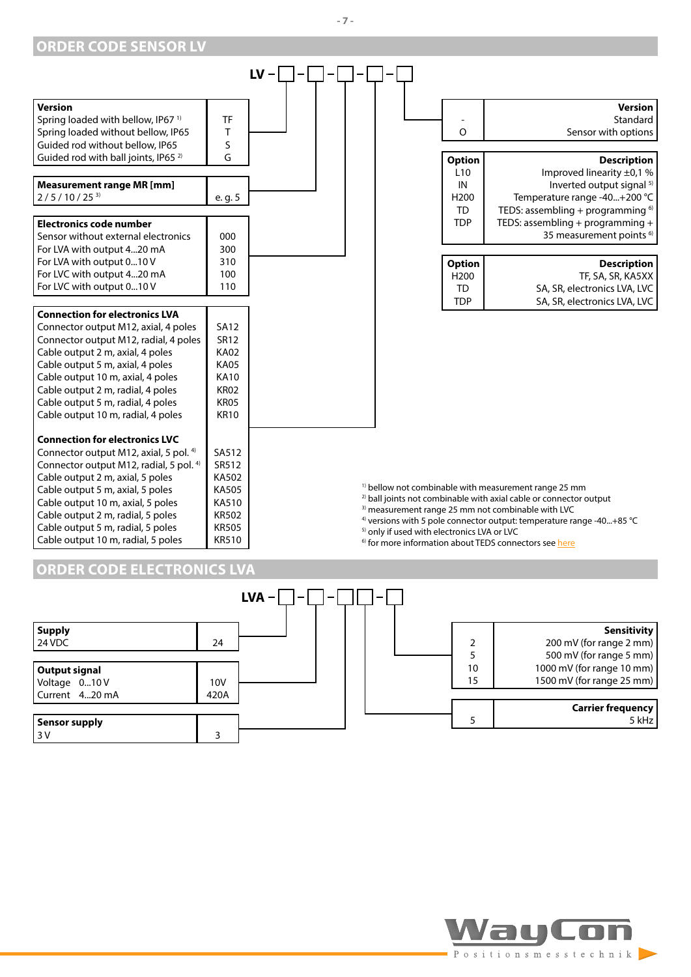<span id="page-6-0"></span>

#### **ORDER CODE ELECTRONICS LVA**